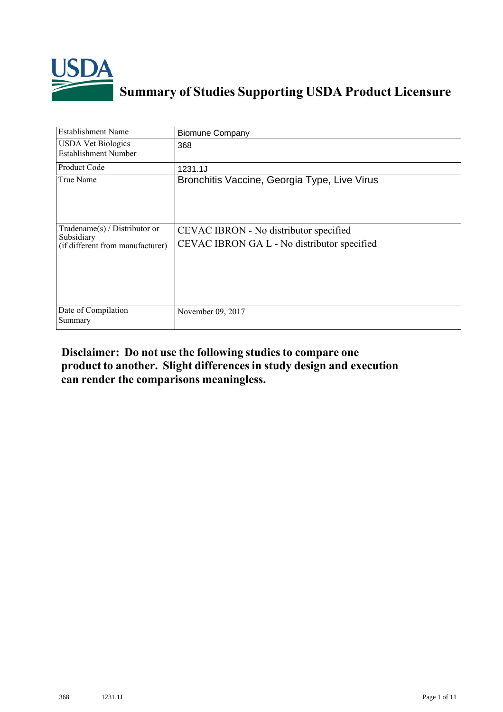

## **Summary of Studies Supporting USDA Product Licensure**

| <b>Establishment Name</b>                                                          | <b>Biomune Company</b>                                                                |
|------------------------------------------------------------------------------------|---------------------------------------------------------------------------------------|
| <b>USDA Vet Biologics</b><br><b>Establishment Number</b>                           | 368                                                                                   |
| Product Code                                                                       | 1231.1J                                                                               |
| True Name                                                                          | Bronchitis Vaccine, Georgia Type, Live Virus                                          |
| Tradename $(s)$ / Distributor or<br>Subsidiary<br>(if different from manufacturer) | CEVAC IBRON - No distributor specified<br>CEVAC IBRON GA L - No distributor specified |
| Date of Compilation<br>Summary                                                     | November 09, 2017                                                                     |

## **Disclaimer: Do not use the following studiesto compare one product to another. Slight differencesin study design and execution can render the comparisons meaningless.**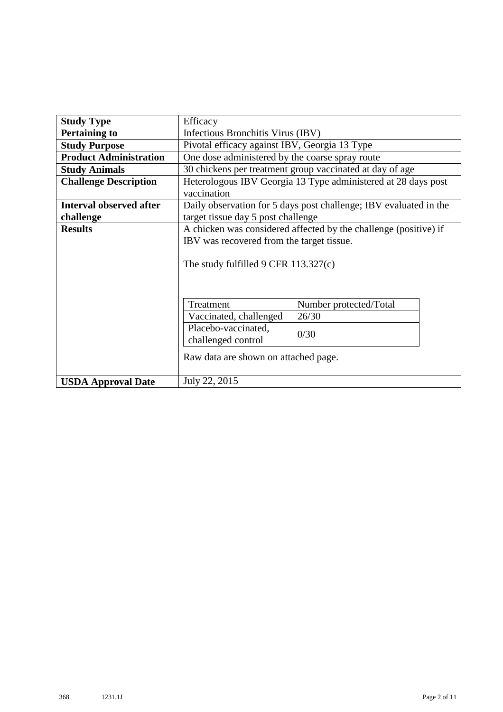| <b>Study Type</b>              | Efficacy                                                                     |                                                                   |  |  |  |
|--------------------------------|------------------------------------------------------------------------------|-------------------------------------------------------------------|--|--|--|
| <b>Pertaining to</b>           | Infectious Bronchitis Virus (IBV)                                            |                                                                   |  |  |  |
| <b>Study Purpose</b>           | Pivotal efficacy against IBV, Georgia 13 Type                                |                                                                   |  |  |  |
| <b>Product Administration</b>  | One dose administered by the coarse spray route                              |                                                                   |  |  |  |
| <b>Study Animals</b>           | 30 chickens per treatment group vaccinated at day of age                     |                                                                   |  |  |  |
| <b>Challenge Description</b>   | Heterologous IBV Georgia 13 Type administered at 28 days post<br>vaccination |                                                                   |  |  |  |
| <b>Interval observed after</b> |                                                                              | Daily observation for 5 days post challenge; IBV evaluated in the |  |  |  |
| challenge                      | target tissue day 5 post challenge                                           |                                                                   |  |  |  |
| <b>Results</b>                 | A chicken was considered affected by the challenge (positive) if             |                                                                   |  |  |  |
|                                | IBV was recovered from the target tissue.                                    |                                                                   |  |  |  |
|                                | The study fulfilled $9$ CFR 113.327(c)                                       |                                                                   |  |  |  |
|                                | Treatment                                                                    | Number protected/Total                                            |  |  |  |
|                                | 26/30<br>Vaccinated, challenged                                              |                                                                   |  |  |  |
|                                | Placebo-vaccinated,<br>0/30<br>challenged control                            |                                                                   |  |  |  |
|                                | Raw data are shown on attached page.                                         |                                                                   |  |  |  |
| <b>USDA Approval Date</b>      | July 22, 2015                                                                |                                                                   |  |  |  |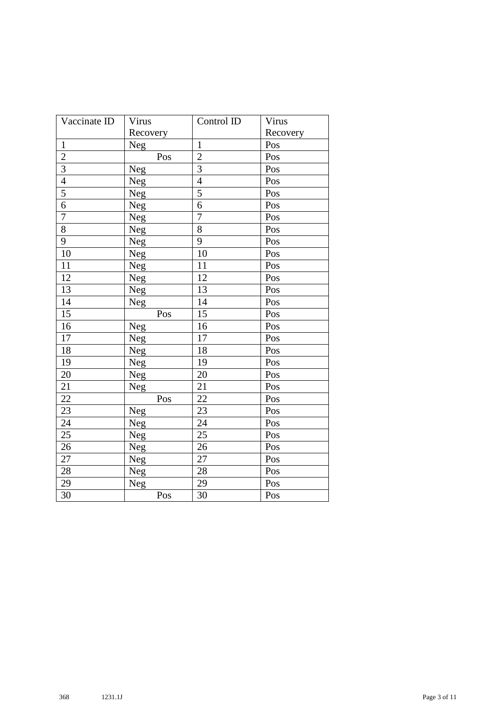| Vaccinate ID    | Virus      | Control ID      | Virus    |  |
|-----------------|------------|-----------------|----------|--|
|                 | Recovery   |                 | Recovery |  |
| $\mathbf{1}$    | <b>Neg</b> | $\mathbf{1}$    | Pos      |  |
| $\overline{2}$  | Pos        | $\overline{2}$  | Pos      |  |
| $\overline{3}$  | Neg        | 3               | Pos      |  |
| $\overline{4}$  | Neg        | $\overline{4}$  | Pos      |  |
| $\overline{5}$  | Neg        | 5               | Pos      |  |
| $\overline{6}$  | Neg        | 6               | Pos      |  |
| $\overline{7}$  | Neg        | $\overline{7}$  | Pos      |  |
| $\overline{8}$  | Neg        | 8               | Pos      |  |
| $\overline{9}$  | Neg        | 9               | Pos      |  |
| $\overline{10}$ | Neg        | 10              | Pos      |  |
| 11              | Neg        | 11              | Pos      |  |
| 12              | Neg        | 12              | Pos      |  |
| 13              | Neg        | 13              | Pos      |  |
| 14              | Neg        | 14              | Pos      |  |
| $\overline{15}$ | Pos        | 15              | Pos      |  |
| 16              | Neg        | 16              | Pos      |  |
| 17              | Neg        | 17              | Pos      |  |
| 18              | Neg        | 18              | Pos      |  |
| 19              | Neg        | 19              | Pos      |  |
| 20              | Neg        | 20              | Pos      |  |
| 21              | Neg        | 21              | Pos      |  |
| $\overline{22}$ | Pos        | $\overline{22}$ | Pos      |  |
| 23              | Neg        | 23              | Pos      |  |
| 24              | Neg        | 24              | Pos      |  |
| 25              | Neg        | 25              | Pos      |  |
| 26              | Neg        | 26              | Pos      |  |
| 27              | Neg        | 27              | Pos      |  |
| 28              | Neg        | 28              | Pos      |  |
| 29              | Neg        | 29              | Pos      |  |
| 30              | Pos        | 30              | Pos      |  |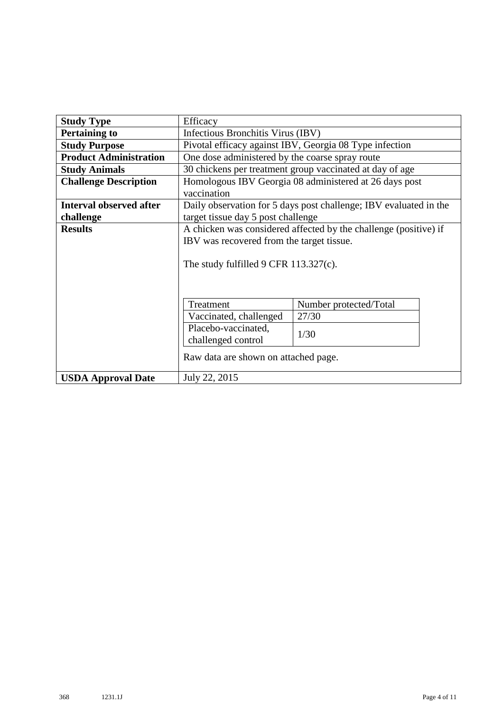| <b>Study Type</b>              | Efficacy                                                          |                        |  |  |  |
|--------------------------------|-------------------------------------------------------------------|------------------------|--|--|--|
| <b>Pertaining to</b>           | Infectious Bronchitis Virus (IBV)                                 |                        |  |  |  |
| <b>Study Purpose</b>           | Pivotal efficacy against IBV, Georgia 08 Type infection           |                        |  |  |  |
| <b>Product Administration</b>  | One dose administered by the coarse spray route                   |                        |  |  |  |
| <b>Study Animals</b>           | 30 chickens per treatment group vaccinated at day of age          |                        |  |  |  |
| <b>Challenge Description</b>   | Homologous IBV Georgia 08 administered at 26 days post            |                        |  |  |  |
|                                | vaccination                                                       |                        |  |  |  |
| <b>Interval observed after</b> | Daily observation for 5 days post challenge; IBV evaluated in the |                        |  |  |  |
| challenge                      | target tissue day 5 post challenge                                |                        |  |  |  |
| <b>Results</b>                 | A chicken was considered affected by the challenge (positive) if  |                        |  |  |  |
|                                | IBV was recovered from the target tissue.                         |                        |  |  |  |
|                                |                                                                   |                        |  |  |  |
|                                | The study fulfilled 9 CFR $113.327(c)$ .                          |                        |  |  |  |
|                                |                                                                   |                        |  |  |  |
|                                |                                                                   |                        |  |  |  |
|                                | Treatment                                                         | Number protected/Total |  |  |  |
|                                | 27/30<br>Vaccinated, challenged                                   |                        |  |  |  |
|                                | Placebo-vaccinated,                                               |                        |  |  |  |
|                                | 1/30<br>challenged control                                        |                        |  |  |  |
|                                |                                                                   |                        |  |  |  |
|                                | Raw data are shown on attached page.                              |                        |  |  |  |
| <b>USDA Approval Date</b>      | July 22, 2015                                                     |                        |  |  |  |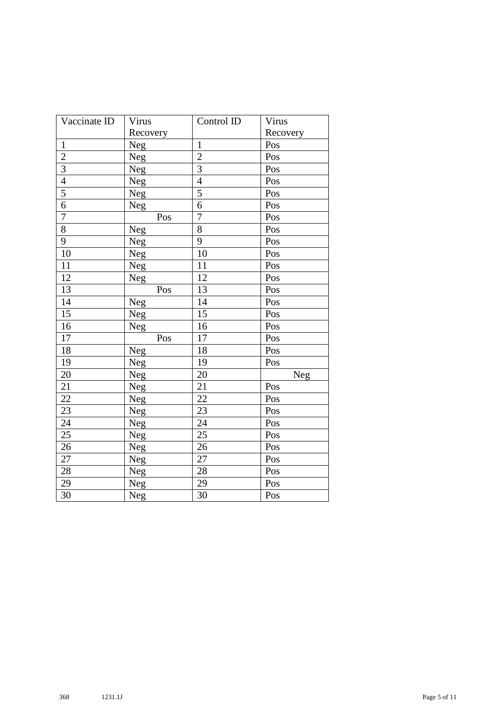| Vaccinate ID    | Virus    | Control ID     | Virus    |
|-----------------|----------|----------------|----------|
|                 | Recovery |                | Recovery |
| $\mathbf{1}$    | Neg      | $\mathbf{1}$   | Pos      |
| $\overline{2}$  | Neg      | $\overline{2}$ | Pos      |
| $\overline{3}$  | Neg      | $\overline{3}$ | Pos      |
| $\overline{4}$  | Neg      | $\overline{4}$ | Pos      |
| 5               | Neg      | 5              | Pos      |
| $\overline{6}$  | Neg      | 6              | Pos      |
| $\overline{7}$  | Pos      | $\overline{7}$ | Pos      |
| $\overline{8}$  | Neg      | 8              | Pos      |
| $\overline{9}$  | Neg      | 9              | Pos      |
| $\overline{10}$ | Neg      | 10             | Pos      |
| 11              | Neg      | 11             | Pos      |
| 12              | Neg      | 12             | Pos      |
| 13              | Pos      | 13             | Pos      |
| 14              | Neg      | 14             | Pos      |
| $\overline{15}$ | Neg      | 15             | Pos      |
| 16              | Neg      | 16             | Pos      |
| 17              | Pos      | 17             | Pos      |
| 18              | Neg      | 18             | Pos      |
| 19              | Neg      | 19             | Pos      |
| 20              | Neg      | 20             | Neg      |
| 21              | Neg      | 21             | Pos      |
| $\overline{22}$ | Neg      | 22             | Pos      |
| 23              | Neg      | 23             | Pos      |
| 24              | Neg      | 24             | Pos      |
| $\overline{25}$ | Neg      | 25             | Pos      |
| 26              | Neg      | 26             | Pos      |
| 27              | Neg      | 27             | Pos      |
| 28              | Neg      | 28             | Pos      |
| 29              | Neg      | 29             | Pos      |
| $\overline{30}$ | Neg      | 30             | Pos      |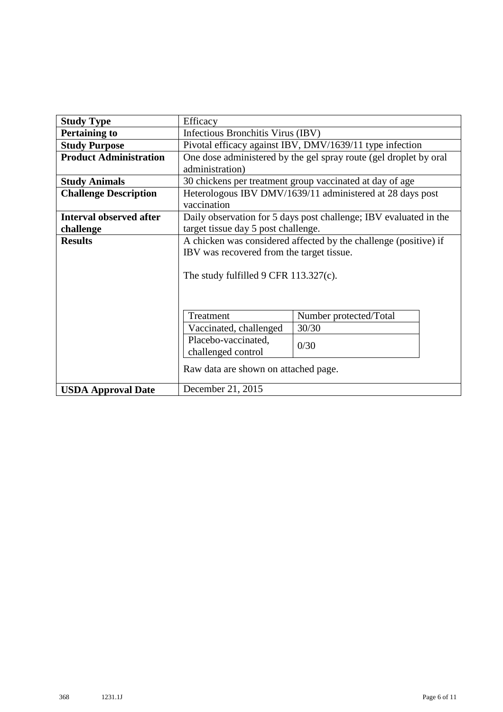| <b>Study Type</b>              | Efficacy                                                                 |                                                                   |  |  |  |
|--------------------------------|--------------------------------------------------------------------------|-------------------------------------------------------------------|--|--|--|
| <b>Pertaining to</b>           | Infectious Bronchitis Virus (IBV)                                        |                                                                   |  |  |  |
| <b>Study Purpose</b>           | Pivotal efficacy against IBV, DMV/1639/11 type infection                 |                                                                   |  |  |  |
| <b>Product Administration</b>  | One dose administered by the gel spray route (gel droplet by oral        |                                                                   |  |  |  |
|                                | administration)                                                          |                                                                   |  |  |  |
| <b>Study Animals</b>           |                                                                          | 30 chickens per treatment group vaccinated at day of age          |  |  |  |
| <b>Challenge Description</b>   | Heterologous IBV DMV/1639/11 administered at 28 days post<br>vaccination |                                                                   |  |  |  |
| <b>Interval observed after</b> |                                                                          | Daily observation for 5 days post challenge; IBV evaluated in the |  |  |  |
| challenge                      | target tissue day 5 post challenge.                                      |                                                                   |  |  |  |
| <b>Results</b>                 | A chicken was considered affected by the challenge (positive) if         |                                                                   |  |  |  |
|                                | IBV was recovered from the target tissue.                                |                                                                   |  |  |  |
|                                |                                                                          |                                                                   |  |  |  |
|                                | The study fulfilled 9 CFR $113.327(c)$ .                                 |                                                                   |  |  |  |
|                                |                                                                          |                                                                   |  |  |  |
|                                |                                                                          |                                                                   |  |  |  |
|                                | Treatment                                                                | Number protected/Total                                            |  |  |  |
|                                | 30/30<br>Vaccinated, challenged                                          |                                                                   |  |  |  |
|                                | Placebo-vaccinated,<br>0/30                                              |                                                                   |  |  |  |
|                                | challenged control                                                       |                                                                   |  |  |  |
|                                | Raw data are shown on attached page.                                     |                                                                   |  |  |  |
| <b>USDA Approval Date</b>      | December 21, 2015                                                        |                                                                   |  |  |  |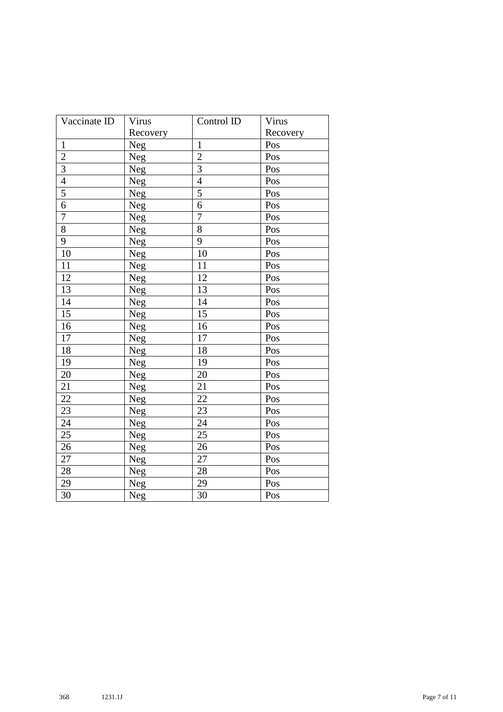| Vaccinate ID    | Virus    | Control ID      | Virus    |
|-----------------|----------|-----------------|----------|
|                 | Recovery |                 | Recovery |
| $\mathbf{1}$    | Neg      | $\mathbf{1}$    | Pos      |
| $\overline{c}$  | Neg      | $\overline{2}$  | Pos      |
| $\overline{3}$  | Neg      | $\overline{3}$  | Pos      |
| $\overline{4}$  | Neg      | $\overline{4}$  | Pos      |
| $\overline{5}$  | Neg      | 5               | Pos      |
| $\overline{6}$  | Neg      | 6               | Pos      |
| $\overline{7}$  | Neg      | $\overline{7}$  | Pos      |
| $\overline{8}$  | Neg      | 8               | Pos      |
| $\overline{9}$  | Neg      | 9               | Pos      |
| $\overline{10}$ | Neg      | 10              | Pos      |
| 11              | Neg      | 11              | Pos      |
| 12              | Neg      | 12              | Pos      |
| $\overline{13}$ | Neg      | $\overline{13}$ | Pos      |
| 14              | Neg      | 14              | Pos      |
| $\overline{15}$ | Neg      | $\overline{15}$ | Pos      |
| 16              | Neg      | 16              | Pos      |
| 17              | Neg      | 17              | Pos      |
| 18              | Neg      | 18              | Pos      |
| 19              | Neg      | 19              | Pos      |
| 20              | Neg      | 20              | Pos      |
| 21              | Neg      | 21              | Pos      |
| $\overline{22}$ | Neg      | 22              | Pos      |
| 23              | Neg      | 23              | Pos      |
| 24              | Neg      | 24              | Pos      |
| $\overline{25}$ | Neg      | 25              | Pos      |
| 26              | Neg      | 26              | Pos      |
| 27              | Neg      | 27              | Pos      |
| $\overline{28}$ | Neg      | 28              | Pos      |
| 29              | Neg      | 29              | Pos      |
| $\overline{30}$ | Neg      | 30              | Pos      |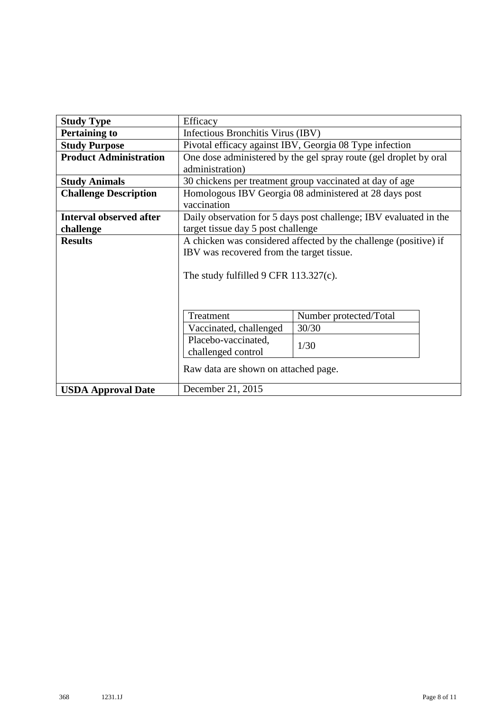| <b>Study Type</b>              | Efficacy                                                                                                      |                                                                   |  |  |  |
|--------------------------------|---------------------------------------------------------------------------------------------------------------|-------------------------------------------------------------------|--|--|--|
| <b>Pertaining to</b>           | Infectious Bronchitis Virus (IBV)                                                                             |                                                                   |  |  |  |
| <b>Study Purpose</b>           | Pivotal efficacy against IBV, Georgia 08 Type infection                                                       |                                                                   |  |  |  |
| <b>Product Administration</b>  | One dose administered by the gel spray route (gel droplet by oral<br>administration)                          |                                                                   |  |  |  |
| <b>Study Animals</b>           |                                                                                                               | 30 chickens per treatment group vaccinated at day of age          |  |  |  |
| <b>Challenge Description</b>   | Homologous IBV Georgia 08 administered at 28 days post<br>vaccination                                         |                                                                   |  |  |  |
| <b>Interval observed after</b> |                                                                                                               | Daily observation for 5 days post challenge; IBV evaluated in the |  |  |  |
| challenge                      | target tissue day 5 post challenge                                                                            |                                                                   |  |  |  |
| <b>Results</b>                 | A chicken was considered affected by the challenge (positive) if<br>IBV was recovered from the target tissue. |                                                                   |  |  |  |
|                                | The study fulfilled 9 CFR $113.327(c)$ .                                                                      |                                                                   |  |  |  |
|                                | Treatment                                                                                                     | Number protected/Total                                            |  |  |  |
|                                | Vaccinated, challenged                                                                                        | 30/30                                                             |  |  |  |
|                                | Placebo-vaccinated,<br>1/30<br>challenged control                                                             |                                                                   |  |  |  |
|                                | Raw data are shown on attached page.                                                                          |                                                                   |  |  |  |
| <b>USDA Approval Date</b>      | December 21, 2015                                                                                             |                                                                   |  |  |  |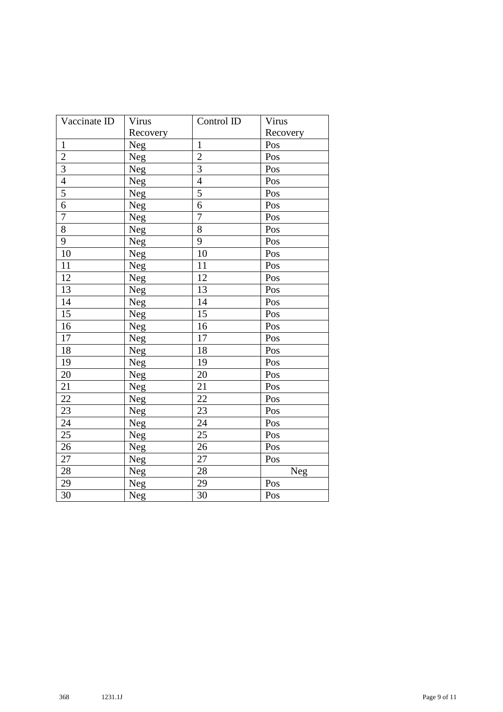| Vaccinate ID    | Virus    | Control ID      | Virus    |
|-----------------|----------|-----------------|----------|
|                 | Recovery |                 | Recovery |
| $\mathbf{1}$    | Neg      | $\mathbf{1}$    | Pos      |
| $\overline{c}$  | Neg      | $\overline{2}$  | Pos      |
| $\overline{3}$  | Neg      | $\overline{3}$  | Pos      |
| $\overline{4}$  | Neg      | $\overline{4}$  | Pos      |
| $\overline{5}$  | Neg      | 5               | Pos      |
| $\overline{6}$  | Neg      | 6               | Pos      |
| $\overline{7}$  | Neg      | $\overline{7}$  | Pos      |
| $\overline{8}$  | Neg      | 8               | Pos      |
| $\overline{9}$  | Neg      | 9               | Pos      |
| $\overline{10}$ | Neg      | 10              | Pos      |
| 11              | Neg      | 11              | Pos      |
| 12              | Neg      | 12              | Pos      |
| $\overline{13}$ | Neg      | $\overline{13}$ | Pos      |
| 14              | Neg      | 14              | Pos      |
| $\overline{15}$ | Neg      | $\overline{15}$ | Pos      |
| 16              | Neg      | 16              | Pos      |
| 17              | Neg      | 17              | Pos      |
| 18              | Neg      | 18              | Pos      |
| 19              | Neg      | 19              | Pos      |
| 20              | Neg      | 20              | Pos      |
| 21              | Neg      | 21              | Pos      |
| $\overline{22}$ | Neg      | 22              | Pos      |
| 23              | Neg      | 23              | Pos      |
| 24              | Neg      | 24              | Pos      |
| $\overline{25}$ | Neg      | 25              | Pos      |
| 26              | Neg      | 26              | Pos      |
| 27              | Neg      | 27              | Pos      |
| $\overline{28}$ | Neg      | 28              | Neg      |
| 29              | Neg      | 29              | Pos      |
| $\overline{30}$ | Neg      | 30              | Pos      |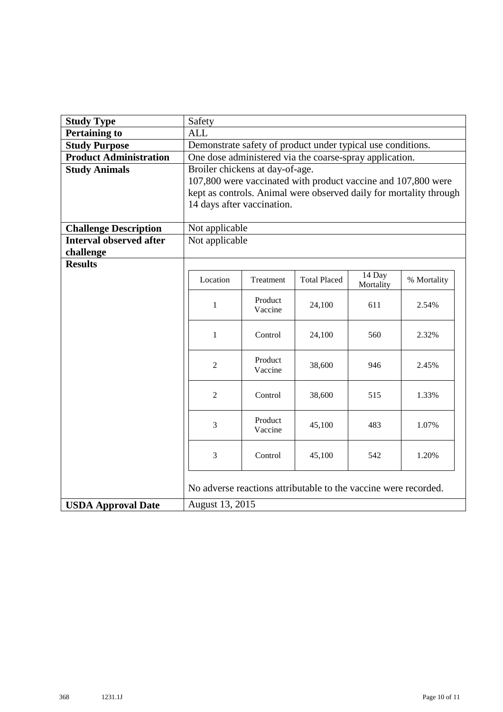| <b>Study Type</b>              | Safety                                                             |                    |                                                                 |                     |             |  |  |
|--------------------------------|--------------------------------------------------------------------|--------------------|-----------------------------------------------------------------|---------------------|-------------|--|--|
| <b>Pertaining to</b>           | <b>ALL</b>                                                         |                    |                                                                 |                     |             |  |  |
| <b>Study Purpose</b>           | Demonstrate safety of product under typical use conditions.        |                    |                                                                 |                     |             |  |  |
| <b>Product Administration</b>  |                                                                    |                    | One dose administered via the coarse-spray application.         |                     |             |  |  |
| <b>Study Animals</b>           | Broiler chickens at day-of-age.                                    |                    |                                                                 |                     |             |  |  |
|                                | 107,800 were vaccinated with product vaccine and 107,800 were      |                    |                                                                 |                     |             |  |  |
|                                | kept as controls. Animal were observed daily for mortality through |                    |                                                                 |                     |             |  |  |
|                                | 14 days after vaccination.                                         |                    |                                                                 |                     |             |  |  |
|                                |                                                                    |                    |                                                                 |                     |             |  |  |
| <b>Challenge Description</b>   | Not applicable                                                     |                    |                                                                 |                     |             |  |  |
| <b>Interval observed after</b> | Not applicable                                                     |                    |                                                                 |                     |             |  |  |
| challenge                      |                                                                    |                    |                                                                 |                     |             |  |  |
| <b>Results</b>                 |                                                                    |                    |                                                                 |                     |             |  |  |
|                                | Location                                                           | Treatment          | <b>Total Placed</b>                                             | 14 Day<br>Mortality | % Mortality |  |  |
|                                |                                                                    |                    |                                                                 |                     |             |  |  |
|                                | Product<br>$\mathbf{1}$<br>24,100<br>611<br>2.54%<br>Vaccine       |                    |                                                                 |                     |             |  |  |
|                                |                                                                    |                    |                                                                 |                     |             |  |  |
|                                | $\mathbf{1}$<br>Control<br>560<br>24,100<br>2.32%                  |                    |                                                                 |                     |             |  |  |
|                                |                                                                    |                    |                                                                 |                     |             |  |  |
|                                | $\overline{2}$                                                     | Product            | 38,600                                                          | 946                 | 2.45%       |  |  |
|                                |                                                                    | Vaccine            |                                                                 |                     |             |  |  |
|                                |                                                                    |                    |                                                                 |                     |             |  |  |
|                                | $\overline{2}$                                                     | Control            | 38,600                                                          | 515                 | 1.33%       |  |  |
|                                |                                                                    |                    |                                                                 |                     |             |  |  |
|                                | $\overline{3}$                                                     | Product<br>Vaccine | 45,100                                                          | 483                 | 1.07%       |  |  |
|                                |                                                                    |                    |                                                                 |                     |             |  |  |
|                                | 3<br>Control<br>45,100<br>542<br>1.20%                             |                    |                                                                 |                     |             |  |  |
|                                |                                                                    |                    |                                                                 |                     |             |  |  |
|                                |                                                                    |                    |                                                                 |                     |             |  |  |
|                                |                                                                    |                    | No adverse reactions attributable to the vaccine were recorded. |                     |             |  |  |
| <b>USDA Approval Date</b>      | August 13, 2015                                                    |                    |                                                                 |                     |             |  |  |